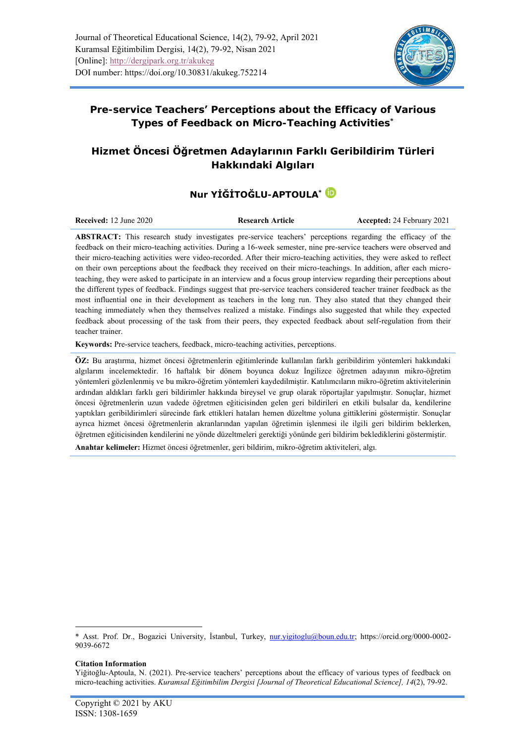

## **Pre-service Teachers' Perceptions about the Efficacy of Various**

**Types of Feedback on Micro-Teaching Activities\***

## **Hizmet Öncesi Öğretmen Adaylarının Farklı Geribildirim Türleri Hakkındaki Algıları**

# **Nur YİĞİTOĞLU-APTOULA\***

**Received:** 12 June 2020 **Research Article Accepted:** 24 February 2021

**ABSTRACT:** This research study investigates pre-service teachers' perceptions regarding the efficacy of the feedback on their micro-teaching activities. During a 16-week semester, nine pre-service teachers were observed and their micro-teaching activities were video-recorded. After their micro-teaching activities, they were asked to reflect on their own perceptions about the feedback they received on their micro-teachings. In addition, after each microteaching, they were asked to participate in an interview and a focus group interview regarding their perceptions about the different types of feedback. Findings suggest that pre-service teachers considered teacher trainer feedback as the most influential one in their development as teachers in the long run. They also stated that they changed their teaching immediately when they themselves realized a mistake. Findings also suggested that while they expected feedback about processing of the task from their peers, they expected feedback about self-regulation from their teacher trainer.

**Keywords:** Pre-service teachers, feedback, micro-teaching activities, perceptions.

**ÖZ:** Bu araştırma, hizmet öncesi öğretmenlerin eğitimlerinde kullanılan farklı geribildirim yöntemleri hakkındaki algılarını incelemektedir. 16 haftalık bir dönem boyunca dokuz İngilizce öğretmen adayının mikro-öğretim yöntemleri gözlenlenmiş ve bu mikro-öğretim yöntemleri kaydedilmiştir. Katılımcıların mikro-öğretim aktivitelerinin ardından aldıkları farklı geri bildirimler hakkında bireysel ve grup olarak röportajlar yapılmıştır. Sonuçlar, hizmet öncesi öğretmenlerin uzun vadede öğretmen eğiticisinden gelen geri bildirileri en etkili bulsalar da, kendilerine yaptıkları geribildirimleri sürecinde fark ettikleri hataları hemen düzeltme yoluna gittiklerini göstermiştir. Sonuçlar ayrıca hizmet öncesi öğretmenlerin akranlarından yapılan öğretimin işlenmesi ile ilgili geri bildirim beklerken, öğretmen eğiticisinden kendilerini ne yönde düzeltmeleri gerektiği yönünde geri bildirim beklediklerini göstermiştir.

**Anahtar kelimeler:** Hizmet öncesi öğretmenler, geri bildirim, mikro-öğretim aktiviteleri, algı.

#### **Citation Information**

<sup>\*</sup> Asst. Prof. Dr., Bogazici University, İstanbul, Turkey, [nur.yigitoglu@boun.edu.tr;](mailto:nur.yigitoglu@boun.edu.tr) [https://orcid.org/0000-0002-](https://orcid.org/0000-0002-9039-6672) [9039-6672](https://orcid.org/0000-0002-9039-6672)

Yiğitoğlu-Aptoula, N. (2021). Pre-service teachers' perceptions about the efficacy of various types of feedback on micro-teaching activities. *Kuramsal Eğitimbilim Dergisi [Journal of Theoretical Educational Science], 14*(2), 79-92.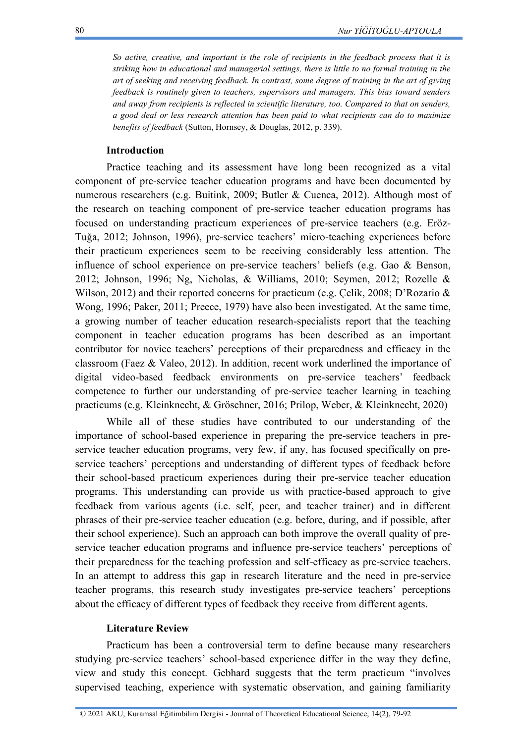*So active, creative, and important is the role of recipients in the feedback process that it is striking how in educational and managerial settings, there is little to no formal training in the art of seeking and receiving feedback. In contrast, some degree of training in the art of giving feedback is routinely given to teachers, supervisors and managers. This bias toward senders and away from recipients is reflected in scientific literature, too. Compared to that on senders, a good deal or less research attention has been paid to what recipients can do to maximize benefits of feedback* (Sutton, Hornsey, & Douglas, 2012, p. 339).

## **Introduction**

Practice teaching and its assessment have long been recognized as a vital component of pre-service teacher education programs and have been documented by numerous researchers (e.g. Buitink, 2009; Butler & Cuenca, 2012). Although most of the research on teaching component of pre-service teacher education programs has focused on understanding practicum experiences of pre-service teachers (e.g. Eröz-Tuğa, 2012; Johnson, 1996), pre-service teachers' micro-teaching experiences before their practicum experiences seem to be receiving considerably less attention. The influence of school experience on pre-service teachers' beliefs (e.g. Gao & Benson, 2012; Johnson, 1996; Ng, Nicholas, & Williams, 2010; Seymen, 2012; Rozelle & Wilson, 2012) and their reported concerns for practicum (e.g. Çelik, 2008; D'Rozario & Wong, 1996; Paker, 2011; Preece, 1979) have also been investigated. At the same time, a growing number of teacher education research-specialists report that the teaching component in teacher education programs has been described as an important contributor for novice teachers' perceptions of their preparedness and efficacy in the classroom (Faez & Valeo, 2012). In addition, recent work underlined the importance of digital video-based feedback environments on pre-service teachers' feedback competence to further our understanding of pre-service teacher learning in teaching practicums (e.g. Kleinknecht, & Gröschner, 2016; Prilop, Weber, & Kleinknecht, 2020)

While all of these studies have contributed to our understanding of the importance of school-based experience in preparing the pre-service teachers in preservice teacher education programs, very few, if any, has focused specifically on preservice teachers' perceptions and understanding of different types of feedback before their school-based practicum experiences during their pre-service teacher education programs. This understanding can provide us with practice-based approach to give feedback from various agents (i.e. self, peer, and teacher trainer) and in different phrases of their pre-service teacher education (e.g. before, during, and if possible, after their school experience). Such an approach can both improve the overall quality of preservice teacher education programs and influence pre-service teachers' perceptions of their preparedness for the teaching profession and self-efficacy as pre-service teachers. In an attempt to address this gap in research literature and the need in pre-service teacher programs, this research study investigates pre-service teachers' perceptions about the efficacy of different types of feedback they receive from different agents.

#### **Literature Review**

Practicum has been a controversial term to define because many researchers studying pre-service teachers' school-based experience differ in the way they define, view and study this concept. Gebhard suggests that the term practicum "involves supervised teaching, experience with systematic observation, and gaining familiarity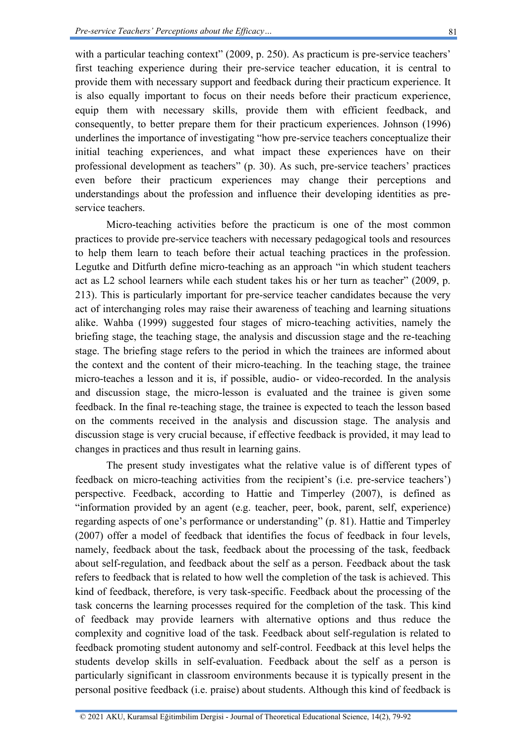with a particular teaching context" (2009, p. 250). As practicum is pre-service teachers' first teaching experience during their pre-service teacher education, it is central to provide them with necessary support and feedback during their practicum experience. It is also equally important to focus on their needs before their practicum experience, equip them with necessary skills, provide them with efficient feedback, and consequently, to better prepare them for their practicum experiences. Johnson (1996) underlines the importance of investigating "how pre-service teachers conceptualize their initial teaching experiences, and what impact these experiences have on their professional development as teachers" (p. 30). As such, pre-service teachers' practices even before their practicum experiences may change their perceptions and understandings about the profession and influence their developing identities as preservice teachers.

Micro-teaching activities before the practicum is one of the most common practices to provide pre-service teachers with necessary pedagogical tools and resources to help them learn to teach before their actual teaching practices in the profession. Legutke and Ditfurth define micro-teaching as an approach "in which student teachers act as L2 school learners while each student takes his or her turn as teacher" (2009, p. 213). This is particularly important for pre-service teacher candidates because the very act of interchanging roles may raise their awareness of teaching and learning situations alike. Wahba (1999) suggested four stages of micro-teaching activities, namely the briefing stage, the teaching stage, the analysis and discussion stage and the re-teaching stage. The briefing stage refers to the period in which the trainees are informed about the context and the content of their micro-teaching. In the teaching stage, the trainee micro-teaches a lesson and it is, if possible, audio- or video-recorded. In the analysis and discussion stage, the micro-lesson is evaluated and the trainee is given some feedback. In the final re-teaching stage, the trainee is expected to teach the lesson based on the comments received in the analysis and discussion stage. The analysis and discussion stage is very crucial because, if effective feedback is provided, it may lead to changes in practices and thus result in learning gains.

The present study investigates what the relative value is of different types of feedback on micro-teaching activities from the recipient's (i.e. pre-service teachers') perspective. Feedback, according to Hattie and Timperley (2007), is defined as "information provided by an agent (e.g. teacher, peer, book, parent, self, experience) regarding aspects of one's performance or understanding" (p. 81). Hattie and Timperley (2007) offer a model of feedback that identifies the focus of feedback in four levels, namely, feedback about the task, feedback about the processing of the task, feedback about self-regulation, and feedback about the self as a person. Feedback about the task refers to feedback that is related to how well the completion of the task is achieved. This kind of feedback, therefore, is very task-specific. Feedback about the processing of the task concerns the learning processes required for the completion of the task. This kind of feedback may provide learners with alternative options and thus reduce the complexity and cognitive load of the task. Feedback about self-regulation is related to feedback promoting student autonomy and self-control. Feedback at this level helps the students develop skills in self-evaluation. Feedback about the self as a person is particularly significant in classroom environments because it is typically present in the personal positive feedback (i.e. praise) about students. Although this kind of feedback is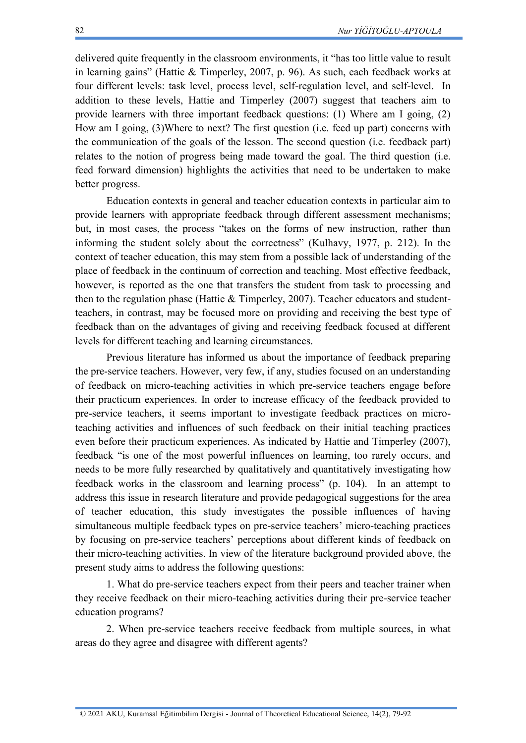delivered quite frequently in the classroom environments, it "has too little value to result in learning gains" (Hattie & Timperley, 2007, p. 96). As such, each feedback works at four different levels: task level, process level, self-regulation level, and self-level. In addition to these levels, Hattie and Timperley (2007) suggest that teachers aim to provide learners with three important feedback questions: (1) Where am I going, (2) How am I going, (3)Where to next? The first question (i.e. feed up part) concerns with the communication of the goals of the lesson. The second question (i.e. feedback part) relates to the notion of progress being made toward the goal. The third question (i.e. feed forward dimension) highlights the activities that need to be undertaken to make better progress.

Education contexts in general and teacher education contexts in particular aim to provide learners with appropriate feedback through different assessment mechanisms; but, in most cases, the process "takes on the forms of new instruction, rather than informing the student solely about the correctness" (Kulhavy, 1977, p. 212). In the context of teacher education, this may stem from a possible lack of understanding of the place of feedback in the continuum of correction and teaching. Most effective feedback, however, is reported as the one that transfers the student from task to processing and then to the regulation phase (Hattie & Timperley, 2007). Teacher educators and studentteachers, in contrast, may be focused more on providing and receiving the best type of feedback than on the advantages of giving and receiving feedback focused at different levels for different teaching and learning circumstances.

Previous literature has informed us about the importance of feedback preparing the pre-service teachers. However, very few, if any, studies focused on an understanding of feedback on micro-teaching activities in which pre-service teachers engage before their practicum experiences. In order to increase efficacy of the feedback provided to pre-service teachers, it seems important to investigate feedback practices on microteaching activities and influences of such feedback on their initial teaching practices even before their practicum experiences. As indicated by Hattie and Timperley (2007), feedback "is one of the most powerful influences on learning, too rarely occurs, and needs to be more fully researched by qualitatively and quantitatively investigating how feedback works in the classroom and learning process" (p. 104). In an attempt to address this issue in research literature and provide pedagogical suggestions for the area of teacher education, this study investigates the possible influences of having simultaneous multiple feedback types on pre-service teachers' micro-teaching practices by focusing on pre-service teachers' perceptions about different kinds of feedback on their micro-teaching activities. In view of the literature background provided above, the present study aims to address the following questions:

1. What do pre-service teachers expect from their peers and teacher trainer when they receive feedback on their micro-teaching activities during their pre-service teacher education programs?

2. When pre-service teachers receive feedback from multiple sources, in what areas do they agree and disagree with different agents?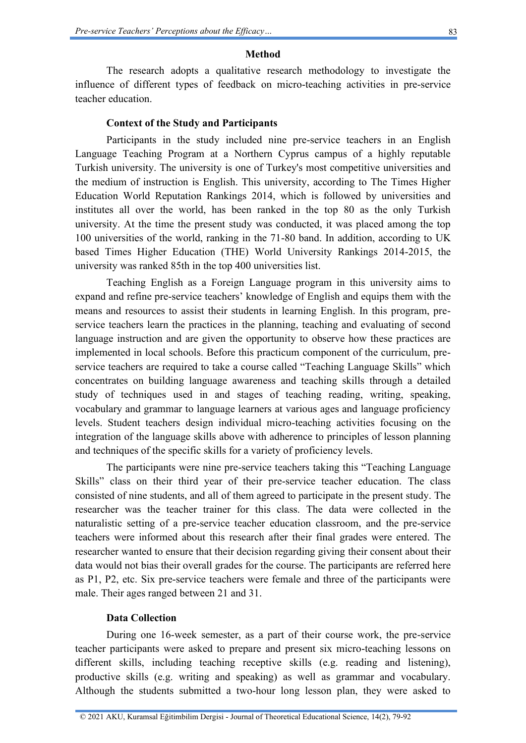#### **Method**

The research adopts a qualitative research methodology to investigate the influence of different types of feedback on micro-teaching activities in pre-service teacher education.

#### **Context of the Study and Participants**

Participants in the study included nine pre-service teachers in an English Language Teaching Program at a Northern Cyprus campus of a highly reputable Turkish university. The university is one of Turkey's most competitive universities and the medium of instruction is English. This university, according to The Times Higher Education World Reputation Rankings 2014, which is followed by universities and institutes all over the world, has been ranked in the top 80 as the only Turkish university. At the time the present study was conducted, it was placed among the top 100 universities of the world, ranking in the 71-80 band. In addition, according to UK based Times Higher Education (THE) World University Rankings 2014-2015, the university was ranked 85th in the top 400 universities list.

Teaching English as a Foreign Language program in this university aims to expand and refine pre-service teachers' knowledge of English and equips them with the means and resources to assist their students in learning English. In this program, preservice teachers learn the practices in the planning, teaching and evaluating of second language instruction and are given the opportunity to observe how these practices are implemented in local schools. Before this practicum component of the curriculum, preservice teachers are required to take a course called "Teaching Language Skills" which concentrates on building language awareness and teaching skills through a detailed study of techniques used in and stages of teaching reading, writing, speaking, vocabulary and grammar to language learners at various ages and language proficiency levels. Student teachers design individual micro-teaching activities focusing on the integration of the language skills above with adherence to principles of lesson planning and techniques of the specific skills for a variety of proficiency levels.

The participants were nine pre-service teachers taking this "Teaching Language Skills" class on their third year of their pre-service teacher education. The class consisted of nine students, and all of them agreed to participate in the present study. The researcher was the teacher trainer for this class. The data were collected in the naturalistic setting of a pre-service teacher education classroom, and the pre-service teachers were informed about this research after their final grades were entered. The researcher wanted to ensure that their decision regarding giving their consent about their data would not bias their overall grades for the course. The participants are referred here as P1, P2, etc. Six pre-service teachers were female and three of the participants were male. Their ages ranged between 21 and 31.

#### **Data Collection**

During one 16-week semester, as a part of their course work, the pre-service teacher participants were asked to prepare and present six micro-teaching lessons on different skills, including teaching receptive skills (e.g. reading and listening), productive skills (e.g. writing and speaking) as well as grammar and vocabulary. Although the students submitted a two-hour long lesson plan, they were asked to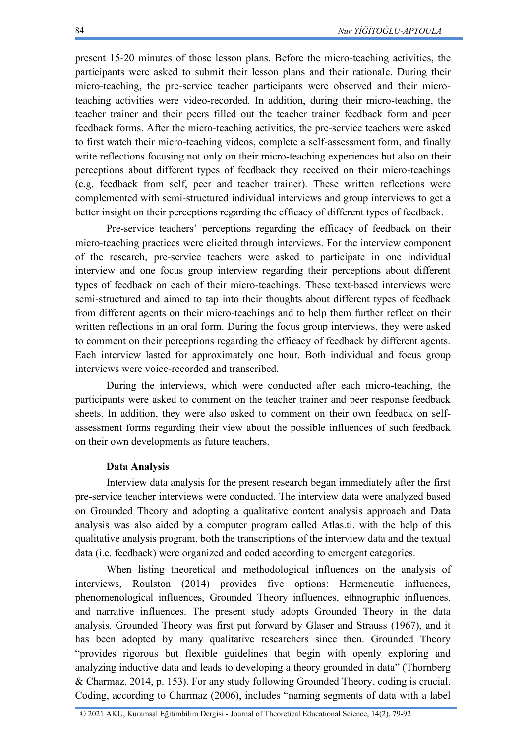present 15-20 minutes of those lesson plans. Before the micro-teaching activities, the participants were asked to submit their lesson plans and their rationale. During their micro-teaching, the pre-service teacher participants were observed and their microteaching activities were video-recorded. In addition, during their micro-teaching, the teacher trainer and their peers filled out the teacher trainer feedback form and peer feedback forms. After the micro-teaching activities, the pre-service teachers were asked to first watch their micro-teaching videos, complete a self-assessment form, and finally write reflections focusing not only on their micro-teaching experiences but also on their perceptions about different types of feedback they received on their micro-teachings (e.g. feedback from self, peer and teacher trainer). These written reflections were complemented with semi-structured individual interviews and group interviews to get a better insight on their perceptions regarding the efficacy of different types of feedback.

Pre-service teachers' perceptions regarding the efficacy of feedback on their micro-teaching practices were elicited through interviews. For the interview component of the research, pre-service teachers were asked to participate in one individual interview and one focus group interview regarding their perceptions about different types of feedback on each of their micro-teachings. These text-based interviews were semi-structured and aimed to tap into their thoughts about different types of feedback from different agents on their micro-teachings and to help them further reflect on their written reflections in an oral form. During the focus group interviews, they were asked to comment on their perceptions regarding the efficacy of feedback by different agents. Each interview lasted for approximately one hour. Both individual and focus group interviews were voice-recorded and transcribed.

During the interviews, which were conducted after each micro-teaching, the participants were asked to comment on the teacher trainer and peer response feedback sheets. In addition, they were also asked to comment on their own feedback on selfassessment forms regarding their view about the possible influences of such feedback on their own developments as future teachers.

#### **Data Analysis**

Interview data analysis for the present research began immediately after the first pre-service teacher interviews were conducted. The interview data were analyzed based on Grounded Theory and adopting a qualitative content analysis approach and Data analysis was also aided by a computer program called Atlas.ti. with the help of this qualitative analysis program, both the transcriptions of the interview data and the textual data (i.e. feedback) were organized and coded according to emergent categories.

When listing theoretical and methodological influences on the analysis of interviews, Roulston (2014) provides five options: Hermeneutic influences, phenomenological influences, Grounded Theory influences, ethnographic influences, and narrative influences. The present study adopts Grounded Theory in the data analysis. Grounded Theory was first put forward by Glaser and Strauss (1967), and it has been adopted by many qualitative researchers since then. Grounded Theory "provides rigorous but flexible guidelines that begin with openly exploring and analyzing inductive data and leads to developing a theory grounded in data" (Thornberg & Charmaz, 2014, p. 153). For any study following Grounded Theory, coding is crucial. Coding, according to Charmaz (2006), includes "naming segments of data with a label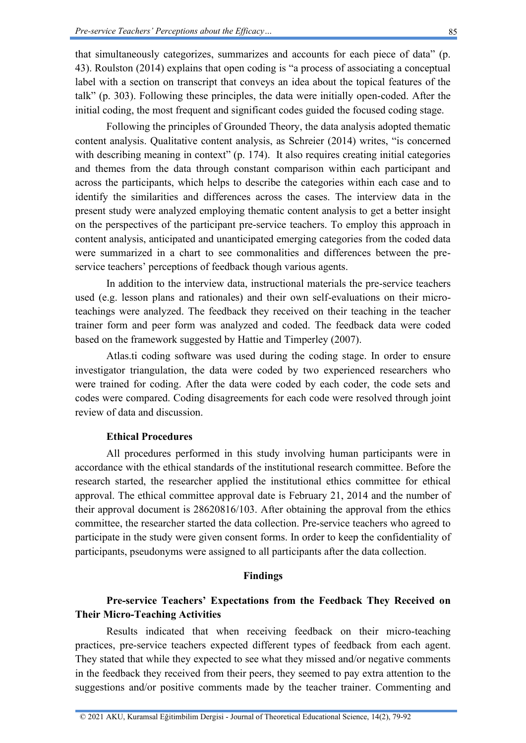that simultaneously categorizes, summarizes and accounts for each piece of data" (p. 43). Roulston (2014) explains that open coding is "a process of associating a conceptual label with a section on transcript that conveys an idea about the topical features of the talk" (p. 303). Following these principles, the data were initially open-coded. After the initial coding, the most frequent and significant codes guided the focused coding stage.

Following the principles of Grounded Theory, the data analysis adopted thematic content analysis. Qualitative content analysis, as Schreier (2014) writes, "is concerned with describing meaning in context" (p. 174). It also requires creating initial categories and themes from the data through constant comparison within each participant and across the participants, which helps to describe the categories within each case and to identify the similarities and differences across the cases. The interview data in the present study were analyzed employing thematic content analysis to get a better insight on the perspectives of the participant pre-service teachers. To employ this approach in content analysis, anticipated and unanticipated emerging categories from the coded data were summarized in a chart to see commonalities and differences between the preservice teachers' perceptions of feedback though various agents.

In addition to the interview data, instructional materials the pre-service teachers used (e.g. lesson plans and rationales) and their own self-evaluations on their microteachings were analyzed. The feedback they received on their teaching in the teacher trainer form and peer form was analyzed and coded. The feedback data were coded based on the framework suggested by Hattie and Timperley (2007).

Atlas.ti coding software was used during the coding stage. In order to ensure investigator triangulation, the data were coded by two experienced researchers who were trained for coding. After the data were coded by each coder, the code sets and codes were compared. Coding disagreements for each code were resolved through joint review of data and discussion.

### **Ethical Procedures**

All procedures performed in this study involving human participants were in accordance with the ethical standards of the institutional research committee. Before the research started, the researcher applied the institutional ethics committee for ethical approval. The ethical committee approval date is February 21, 2014 and the number of their approval document is 28620816/103. After obtaining the approval from the ethics committee, the researcher started the data collection. Pre-service teachers who agreed to participate in the study were given consent forms. In order to keep the confidentiality of participants, pseudonyms were assigned to all participants after the data collection.

### **Findings**

## **Pre-service Teachers' Expectations from the Feedback They Received on Their Micro-Teaching Activities**

Results indicated that when receiving feedback on their micro-teaching practices, pre-service teachers expected different types of feedback from each agent. They stated that while they expected to see what they missed and/or negative comments in the feedback they received from their peers, they seemed to pay extra attention to the suggestions and/or positive comments made by the teacher trainer. Commenting and

© 2021 AKU, Kuramsal Eğitimbilim Dergisi - Journal of Theoretical Educational Science, 14(2), 79-92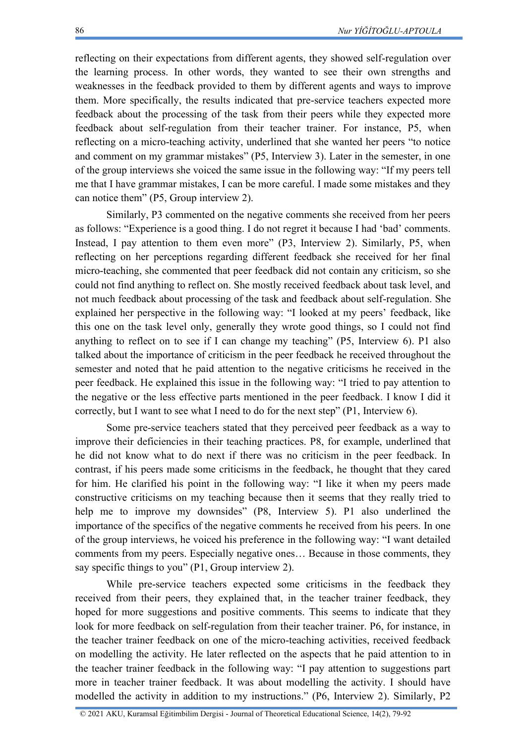reflecting on their expectations from different agents, they showed self-regulation over the learning process. In other words, they wanted to see their own strengths and weaknesses in the feedback provided to them by different agents and ways to improve them. More specifically, the results indicated that pre-service teachers expected more feedback about the processing of the task from their peers while they expected more feedback about self-regulation from their teacher trainer. For instance, P5, when reflecting on a micro-teaching activity, underlined that she wanted her peers "to notice and comment on my grammar mistakes" (P5, Interview 3). Later in the semester, in one of the group interviews she voiced the same issue in the following way: "If my peers tell me that I have grammar mistakes, I can be more careful. I made some mistakes and they can notice them" (P5, Group interview 2).

Similarly, P3 commented on the negative comments she received from her peers as follows: "Experience is a good thing. I do not regret it because I had 'bad' comments. Instead, I pay attention to them even more" (P3, Interview 2). Similarly, P5, when reflecting on her perceptions regarding different feedback she received for her final micro-teaching, she commented that peer feedback did not contain any criticism, so she could not find anything to reflect on. She mostly received feedback about task level, and not much feedback about processing of the task and feedback about self-regulation. She explained her perspective in the following way: "I looked at my peers' feedback, like this one on the task level only, generally they wrote good things, so I could not find anything to reflect on to see if I can change my teaching" (P5, Interview 6). P1 also talked about the importance of criticism in the peer feedback he received throughout the semester and noted that he paid attention to the negative criticisms he received in the peer feedback. He explained this issue in the following way: "I tried to pay attention to the negative or the less effective parts mentioned in the peer feedback. I know I did it correctly, but I want to see what I need to do for the next step" (P1, Interview 6).

Some pre-service teachers stated that they perceived peer feedback as a way to improve their deficiencies in their teaching practices. P8, for example, underlined that he did not know what to do next if there was no criticism in the peer feedback. In contrast, if his peers made some criticisms in the feedback, he thought that they cared for him. He clarified his point in the following way: "I like it when my peers made constructive criticisms on my teaching because then it seems that they really tried to help me to improve my downsides" (P8, Interview 5). P1 also underlined the importance of the specifics of the negative comments he received from his peers. In one of the group interviews, he voiced his preference in the following way: "I want detailed comments from my peers. Especially negative ones… Because in those comments, they say specific things to you" (P1, Group interview 2).

While pre-service teachers expected some criticisms in the feedback they received from their peers, they explained that, in the teacher trainer feedback, they hoped for more suggestions and positive comments. This seems to indicate that they look for more feedback on self-regulation from their teacher trainer. P6, for instance, in the teacher trainer feedback on one of the micro-teaching activities, received feedback on modelling the activity. He later reflected on the aspects that he paid attention to in the teacher trainer feedback in the following way: "I pay attention to suggestions part more in teacher trainer feedback. It was about modelling the activity. I should have modelled the activity in addition to my instructions." (P6, Interview 2). Similarly, P2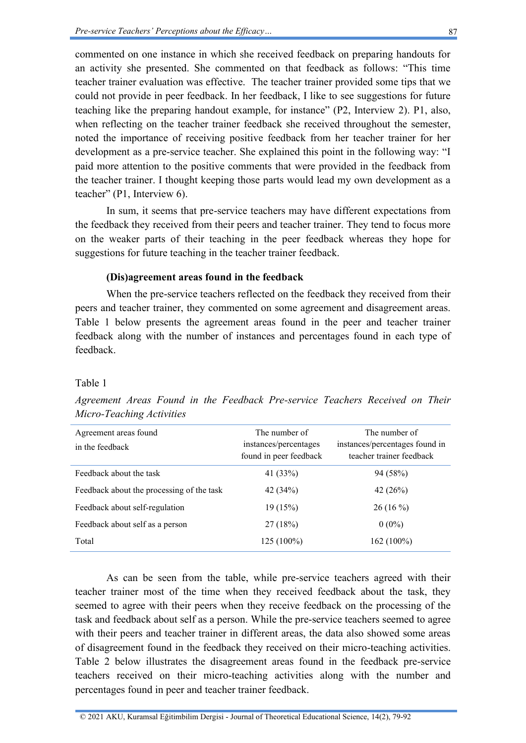commented on one instance in which she received feedback on preparing handouts for an activity she presented. She commented on that feedback as follows: "This time teacher trainer evaluation was effective. The teacher trainer provided some tips that we could not provide in peer feedback. In her feedback, I like to see suggestions for future teaching like the preparing handout example, for instance" (P2, Interview 2). P1, also, when reflecting on the teacher trainer feedback she received throughout the semester, noted the importance of receiving positive feedback from her teacher trainer for her development as a pre-service teacher. She explained this point in the following way: "I paid more attention to the positive comments that were provided in the feedback from the teacher trainer. I thought keeping those parts would lead my own development as a teacher" (P1, Interview 6).

In sum, it seems that pre-service teachers may have different expectations from the feedback they received from their peers and teacher trainer. They tend to focus more on the weaker parts of their teaching in the peer feedback whereas they hope for suggestions for future teaching in the teacher trainer feedback.

#### **(Dis)agreement areas found in the feedback**

When the pre-service teachers reflected on the feedback they received from their peers and teacher trainer, they commented on some agreement and disagreement areas. Table 1 below presents the agreement areas found in the peer and teacher trainer feedback along with the number of instances and percentages found in each type of feedback.

#### Table 1

| Agreement areas found<br>in the feedback  | The number of<br>instances/percentages<br>found in peer feedback | The number of<br>instances/percentages found in<br>teacher trainer feedback |
|-------------------------------------------|------------------------------------------------------------------|-----------------------------------------------------------------------------|
| Feedback about the task                   | 41 (33%)                                                         | 94 (58%)                                                                    |
| Feedback about the processing of the task | 42 $(34%)$                                                       | 42 $(26%)$                                                                  |
| Feedback about self-regulation            | 19(15%)                                                          | $26(16\%)$                                                                  |
| Feedback about self as a person           | 27(18%)                                                          | $0(0\%)$                                                                    |
| Total                                     | $125(100\%)$                                                     | $162(100\%)$                                                                |

*Agreement Areas Found in the Feedback Pre-service Teachers Received on Their Micro-Teaching Activities*

As can be seen from the table, while pre-service teachers agreed with their teacher trainer most of the time when they received feedback about the task, they seemed to agree with their peers when they receive feedback on the processing of the task and feedback about self as a person. While the pre-service teachers seemed to agree with their peers and teacher trainer in different areas, the data also showed some areas of disagreement found in the feedback they received on their micro-teaching activities. Table 2 below illustrates the disagreement areas found in the feedback pre-service teachers received on their micro-teaching activities along with the number and percentages found in peer and teacher trainer feedback.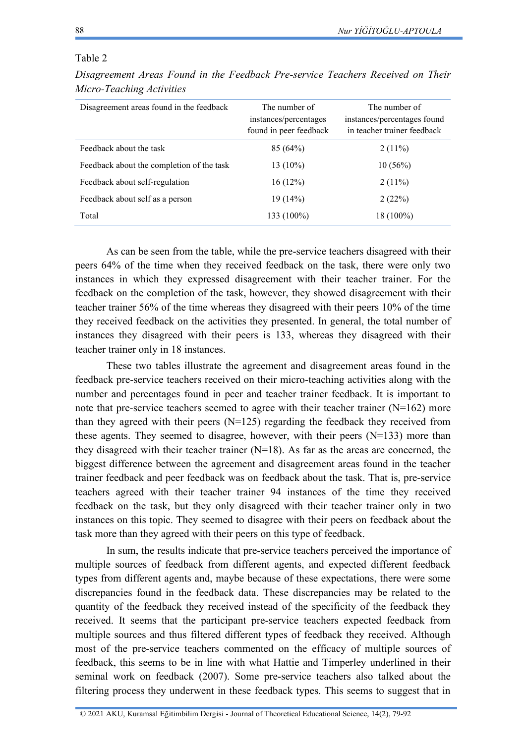#### Table 2

| Disagreement Areas Found in the Feedback Pre-service Teachers Received on Their |  |  |  |  |  |
|---------------------------------------------------------------------------------|--|--|--|--|--|
| Micro-Teaching Activities                                                       |  |  |  |  |  |

| Disagreement areas found in the feedback  | The number of<br>instances/percentages<br>found in peer feedback | The number of<br>instances/percentages found<br>in teacher trainer feedback |
|-------------------------------------------|------------------------------------------------------------------|-----------------------------------------------------------------------------|
| Feedback about the task                   | 85(64%)                                                          | $2(11\%)$                                                                   |
| Feedback about the completion of the task | $13(10\%)$                                                       | $10(56\%)$                                                                  |
| Feedback about self-regulation            | 16(12%)                                                          | $2(11\%)$                                                                   |
| Feedback about self as a person           | 19(14%)                                                          | 2(22%)                                                                      |
| Total                                     | 133 (100%)                                                       | 18 (100%)                                                                   |

As can be seen from the table, while the pre-service teachers disagreed with their peers 64% of the time when they received feedback on the task, there were only two instances in which they expressed disagreement with their teacher trainer. For the feedback on the completion of the task, however, they showed disagreement with their teacher trainer 56% of the time whereas they disagreed with their peers 10% of the time they received feedback on the activities they presented. In general, the total number of instances they disagreed with their peers is 133, whereas they disagreed with their teacher trainer only in 18 instances.

These two tables illustrate the agreement and disagreement areas found in the feedback pre-service teachers received on their micro-teaching activities along with the number and percentages found in peer and teacher trainer feedback. It is important to note that pre-service teachers seemed to agree with their teacher trainer  $(N=162)$  more than they agreed with their peers  $(N=125)$  regarding the feedback they received from these agents. They seemed to disagree, however, with their peers  $(N=133)$  more than they disagreed with their teacher trainer  $(N=18)$ . As far as the areas are concerned, the biggest difference between the agreement and disagreement areas found in the teacher trainer feedback and peer feedback was on feedback about the task. That is, pre-service teachers agreed with their teacher trainer 94 instances of the time they received feedback on the task, but they only disagreed with their teacher trainer only in two instances on this topic. They seemed to disagree with their peers on feedback about the task more than they agreed with their peers on this type of feedback.

In sum, the results indicate that pre-service teachers perceived the importance of multiple sources of feedback from different agents, and expected different feedback types from different agents and, maybe because of these expectations, there were some discrepancies found in the feedback data. These discrepancies may be related to the quantity of the feedback they received instead of the specificity of the feedback they received. It seems that the participant pre-service teachers expected feedback from multiple sources and thus filtered different types of feedback they received. Although most of the pre-service teachers commented on the efficacy of multiple sources of feedback, this seems to be in line with what Hattie and Timperley underlined in their seminal work on feedback (2007). Some pre-service teachers also talked about the filtering process they underwent in these feedback types. This seems to suggest that in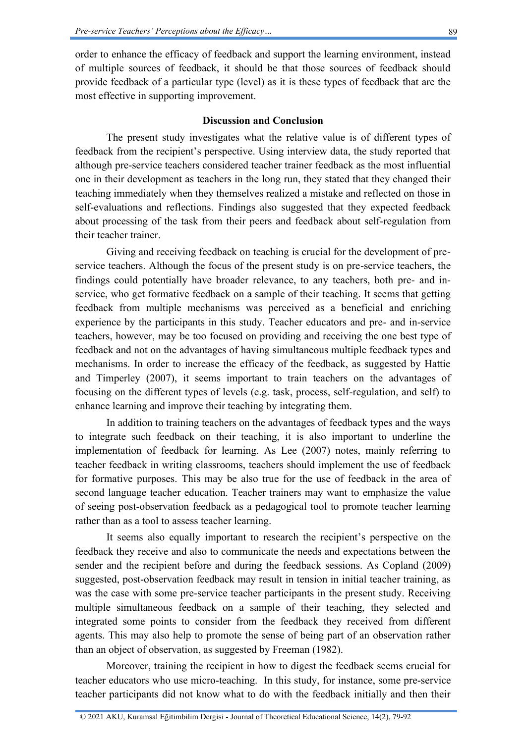order to enhance the efficacy of feedback and support the learning environment, instead of multiple sources of feedback, it should be that those sources of feedback should provide feedback of a particular type (level) as it is these types of feedback that are the most effective in supporting improvement.

## **Discussion and Conclusion**

The present study investigates what the relative value is of different types of feedback from the recipient's perspective. Using interview data, the study reported that although pre-service teachers considered teacher trainer feedback as the most influential one in their development as teachers in the long run, they stated that they changed their teaching immediately when they themselves realized a mistake and reflected on those in self-evaluations and reflections. Findings also suggested that they expected feedback about processing of the task from their peers and feedback about self-regulation from their teacher trainer.

Giving and receiving feedback on teaching is crucial for the development of preservice teachers. Although the focus of the present study is on pre-service teachers, the findings could potentially have broader relevance, to any teachers, both pre- and inservice, who get formative feedback on a sample of their teaching. It seems that getting feedback from multiple mechanisms was perceived as a beneficial and enriching experience by the participants in this study. Teacher educators and pre- and in-service teachers, however, may be too focused on providing and receiving the one best type of feedback and not on the advantages of having simultaneous multiple feedback types and mechanisms. In order to increase the efficacy of the feedback, as suggested by Hattie and Timperley (2007), it seems important to train teachers on the advantages of focusing on the different types of levels (e.g. task, process, self-regulation, and self) to enhance learning and improve their teaching by integrating them.

In addition to training teachers on the advantages of feedback types and the ways to integrate such feedback on their teaching, it is also important to underline the implementation of feedback for learning. As Lee (2007) notes, mainly referring to teacher feedback in writing classrooms, teachers should implement the use of feedback for formative purposes. This may be also true for the use of feedback in the area of second language teacher education. Teacher trainers may want to emphasize the value of seeing post-observation feedback as a pedagogical tool to promote teacher learning rather than as a tool to assess teacher learning.

It seems also equally important to research the recipient's perspective on the feedback they receive and also to communicate the needs and expectations between the sender and the recipient before and during the feedback sessions. As Copland (2009) suggested, post-observation feedback may result in tension in initial teacher training, as was the case with some pre-service teacher participants in the present study. Receiving multiple simultaneous feedback on a sample of their teaching, they selected and integrated some points to consider from the feedback they received from different agents. This may also help to promote the sense of being part of an observation rather than an object of observation, as suggested by Freeman (1982).

Moreover, training the recipient in how to digest the feedback seems crucial for teacher educators who use micro-teaching. In this study, for instance, some pre-service teacher participants did not know what to do with the feedback initially and then their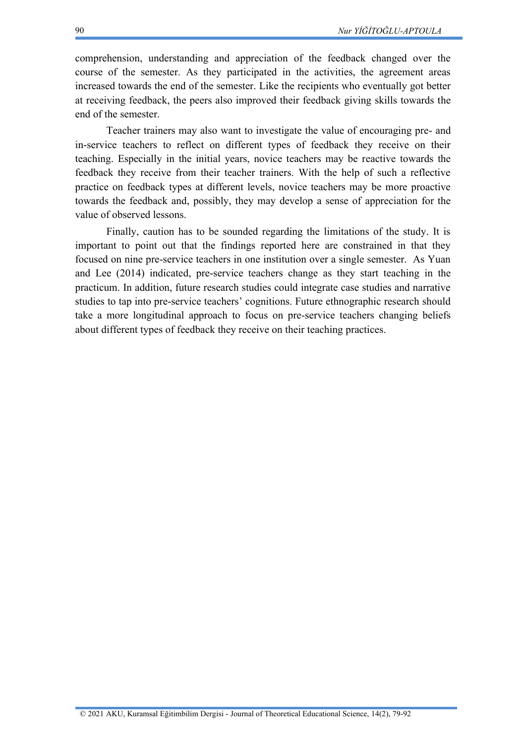comprehension, understanding and appreciation of the feedback changed over the course of the semester. As they participated in the activities, the agreement areas increased towards the end of the semester. Like the recipients who eventually got better at receiving feedback, the peers also improved their feedback giving skills towards the end of the semester.

Teacher trainers may also want to investigate the value of encouraging pre- and in-service teachers to reflect on different types of feedback they receive on their teaching. Especially in the initial years, novice teachers may be reactive towards the feedback they receive from their teacher trainers. With the help of such a reflective practice on feedback types at different levels, novice teachers may be more proactive towards the feedback and, possibly, they may develop a sense of appreciation for the value of observed lessons.

Finally, caution has to be sounded regarding the limitations of the study. It is important to point out that the findings reported here are constrained in that they focused on nine pre-service teachers in one institution over a single semester. As Yuan and Lee (2014) indicated, pre-service teachers change as they start teaching in the practicum. In addition, future research studies could integrate case studies and narrative studies to tap into pre-service teachers' cognitions. Future ethnographic research should take a more longitudinal approach to focus on pre-service teachers changing beliefs about different types of feedback they receive on their teaching practices.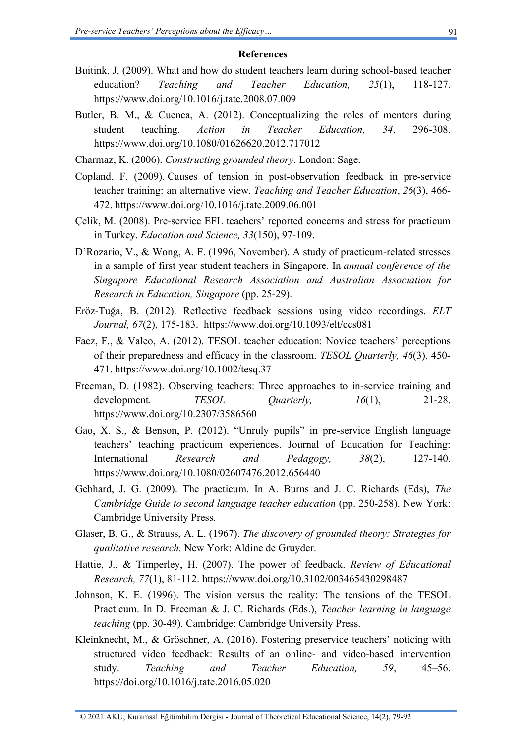#### **References**

- Buitink, J. (2009). What and how do student teachers learn during school-based teacher education? *Teaching and Teacher Education, 25*(1), 118-127. https://www.doi.org/10.1016/j.tate.2008.07.009
- Butler, B. M., & Cuenca, A. (2012). Conceptualizing the roles of mentors during student teaching. *Action in Teacher Education, 34*, 296-308. https://www.doi.org/10.1080/01626620.2012.717012
- Charmaz, K. (2006). *Constructing grounded theory*. London: Sage.
- Copland, F. (2009). Causes of tension in post-observation feedback in pre-service teacher training: an alternative view. *Teaching and Teacher Education*, *26*(3), 466- 472. https://www.doi.org/10.1016/j.tate.2009.06.001
- Çelik, M. (2008). Pre-service EFL teachers' reported concerns and stress for practicum in Turkey. *Education and Science, 33*(150), 97-109.
- D'Rozario, V., & Wong, A. F. (1996, November). A study of practicum-related stresses in a sample of first year student teachers in Singapore. In *annual conference of the Singapore Educational Research Association and Australian Association for Research in Education, Singapore* (pp. 25-29).
- Eröz-Tuğa, B. (2012). Reflective feedback sessions using video recordings. *ELT Journal, 67*(2), 175-183. [https://www.doi.org/10.1093/elt/ccs081](https://doi.org/10.1093/elt/ccs081)
- Faez, F., & Valeo, A. (2012). TESOL teacher education: Novice teachers' perceptions of their preparedness and efficacy in the classroom. *TESOL Quarterly, 46*(3), 450- 471. https://www.doi.org/10.1002/tesq.37
- Freeman, D. (1982). Observing teachers: Three approaches to in-service training and development. *TESOL Quarterly, 16*(1), 21-28. https://www.doi.org/10.2307/3586560
- Gao, X. S., & Benson, P. (2012). "Unruly pupils" in pre-service English language teachers' teaching practicum experiences. Journal of Education for Teaching: International *Research and Pedagogy, 38*(2), 127-140. https://www.doi.org/10.1080/02607476.2012.656440
- Gebhard, J. G. (2009). The practicum. In A. Burns and J. C. Richards (Eds), *The Cambridge Guide to second language teacher education (pp. 250-258). New York:* Cambridge University Press.
- Glaser, B. G., & Strauss, A. L. (1967). *The discovery of grounded theory: Strategies for qualitative research.* New York: Aldine de Gruyder.
- Hattie, J., & Timperley, H. (2007). The power of feedback. *Review of Educational Research, 77*(1), 81-112. https://www.doi.org/10.3102/003465430298487
- Johnson, K. E. (1996). The vision versus the reality: The tensions of the TESOL Practicum. In D. Freeman & J. C. Richards (Eds.), *Teacher learning in language teaching* (pp. 30-49). Cambridge: Cambridge University Press.
- Kleinknecht, M., & Gröschner, A. (2016). Fostering preservice teachers' noticing with structured video feedback: Results of an online- and video-based intervention study. *Teaching and Teacher Education, 59*, 45–56. https://doi.org/10.1016/j.tate.2016.05.020